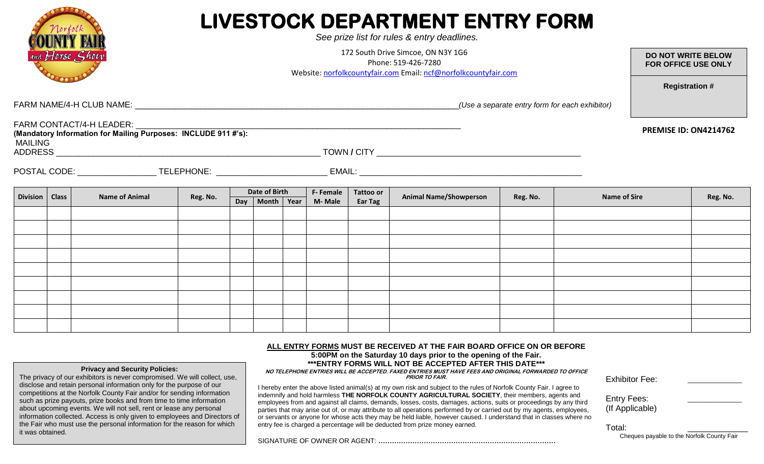| Norfol                                                                 |                       |                                                                                                                              |                                                |  |                                                          |                               |          | LIVESTOCK DEPARTMENT ENTRY FORM<br>See prize list for rules & entry deadlines. |  |          |                       |                                                  |  |
|------------------------------------------------------------------------|-----------------------|------------------------------------------------------------------------------------------------------------------------------|------------------------------------------------|--|----------------------------------------------------------|-------------------------------|----------|--------------------------------------------------------------------------------|--|----------|-----------------------|--------------------------------------------------|--|
| and Horse Show                                                         |                       | 172 South Drive Simcoe, ON N3Y 1G6<br>Phone: 519-426-7280<br>Website: norfolkcountyfair.com Email: ncf@norfolkcountyfair.com |                                                |  |                                                          |                               |          |                                                                                |  |          |                       | <b>DO NOT WRITE BELOW</b><br>FOR OFFICE USE ONLY |  |
|                                                                        |                       |                                                                                                                              | (Use a separate entry form for each exhibitor) |  |                                                          |                               |          |                                                                                |  |          | <b>Registration #</b> |                                                  |  |
| FARM CONTACT/4-H LEADER: WEDDER: MOLLARY 1991 47's):<br><b>MAILING</b> |                       |                                                                                                                              |                                                |  |                                                          |                               |          | <b>PREMISE ID: ON4214762</b>                                                   |  |          |                       |                                                  |  |
|                                                                        |                       |                                                                                                                              |                                                |  |                                                          |                               |          |                                                                                |  |          |                       |                                                  |  |
| Division   Class                                                       | <b>Name of Animal</b> | Reg. No.                                                                                                                     | <b>Date of Birth</b><br>Day   Month   Year     |  | <b>F-Female</b><br><b>Tattoo or</b><br>M-Male<br>Ear Tag | <b>Animal Name/Showperson</b> | Reg. No. | <b>Name of Sire</b>                                                            |  | Reg. No. |                       |                                                  |  |
|                                                                        |                       |                                                                                                                              |                                                |  |                                                          |                               |          |                                                                                |  |          |                       |                                                  |  |
|                                                                        |                       |                                                                                                                              |                                                |  |                                                          |                               |          |                                                                                |  |          |                       |                                                  |  |
|                                                                        |                       |                                                                                                                              |                                                |  |                                                          |                               |          |                                                                                |  |          |                       |                                                  |  |
|                                                                        |                       |                                                                                                                              |                                                |  |                                                          |                               |          |                                                                                |  |          |                       |                                                  |  |
|                                                                        |                       |                                                                                                                              |                                                |  |                                                          |                               |          |                                                                                |  |          |                       |                                                  |  |
|                                                                        |                       |                                                                                                                              |                                                |  |                                                          |                               |          |                                                                                |  |          |                       |                                                  |  |
|                                                                        |                       |                                                                                                                              |                                                |  |                                                          |                               |          |                                                                                |  |          |                       |                                                  |  |

ALL ENTRY FORMS MUST BE RECEIVED AT THE FAIR BOARD OFFICE ON OR BEFORE<br>Later Second and the Orter Ins 40 January 10 the construction of the Fair **5:00PM on the Saturday 10 days prior to the opening of the Fair. \*\*\*ENTRY FORMS WILL NOT BE ACCEPTED AFTER THIS DATE\*\*\***

**NO TELEPHONE ENTRIES WILL BE ACCEPTED. FAXED ENTRIES MUST HAVE FEES AND ORIGINAL FORWARDED TO OFFICE PRIOR TO FAIR.**

I hereby enter the above listed animal(s) at my own risk and subject to the rules of Norfolk County Fair. I agree to indemnify and hold harmless **THE NORFOLK COUNTY AGRICULTURAL SOCIETY**, their members, agents and employees from and against all claims, demands, losses, costs, damages, actions, suits or proceedings by any third parties that may arise out of, or may attribute to all operations performed by or carried out by my agents, employees, or servants or anyone for whose acts they may be held liable, however caused. I understand that in classes where no entry fee is charged a percentage will be deducted from prize money earned.

SIGNATURE OF OWNER OR AGENT: **……………………………………………………………………**

**Privacy and Security Policies:** The privacy of our exhibitors is never compromised. We will collect, use, disclose and retain personal information only for the purpose of our competitions at the Norfolk County Fair and/or for sending information such as prize payouts, prize books and from time to time information about upcoming events. We will not sell, rent or lease any personal information collected. Access is only given to employees and Directors of the Fair who must use the personal information for the reason for which

it was obtained.

| Exhibitor Fee:     |  |
|--------------------|--|
| <b>Entry Fees:</b> |  |

(If Applicable)

Total:

Cheques payable to the Norfolk County Fair